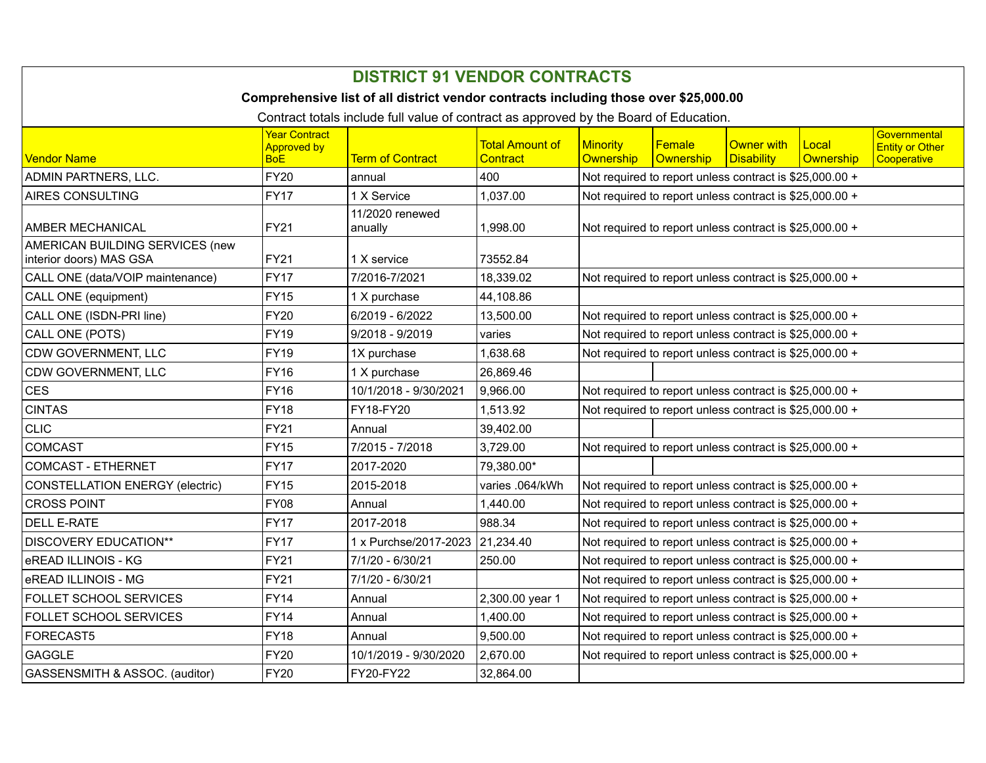| <b>DISTRICT 91 VENDOR CONTRACTS</b>                                                   |                                                          |                            |                                           |                                                         |                                                         |                                        |                    |                                                       |  |
|---------------------------------------------------------------------------------------|----------------------------------------------------------|----------------------------|-------------------------------------------|---------------------------------------------------------|---------------------------------------------------------|----------------------------------------|--------------------|-------------------------------------------------------|--|
| Comprehensive list of all district vendor contracts including those over \$25,000.00  |                                                          |                            |                                           |                                                         |                                                         |                                        |                    |                                                       |  |
| Contract totals include full value of contract as approved by the Board of Education. |                                                          |                            |                                           |                                                         |                                                         |                                        |                    |                                                       |  |
| Vendor Name                                                                           | <b>Year Contract</b><br><b>Approved by</b><br><b>BoE</b> | <b>Term of Contract</b>    | <b>Total Amount of</b><br><b>Contract</b> | <b>Minority</b><br>Ownership                            | Female<br>Ownership                                     | <b>Owner with</b><br><b>Disability</b> | Local<br>Ownership | Governmental<br><b>Entity or Other</b><br>Cooperative |  |
| <b>ADMIN PARTNERS, LLC.</b>                                                           | <b>FY20</b>                                              | annual                     | 400                                       | Not required to report unless contract is \$25,000.00 + |                                                         |                                        |                    |                                                       |  |
| <b>AIRES CONSULTING</b>                                                               | <b>FY17</b>                                              | 1 X Service                | 1,037.00                                  | Not required to report unless contract is \$25,000.00 + |                                                         |                                        |                    |                                                       |  |
| <b>AMBER MECHANICAL</b>                                                               | <b>FY21</b>                                              | 11/2020 renewed<br>anually | 1,998.00                                  | Not required to report unless contract is \$25,000.00 + |                                                         |                                        |                    |                                                       |  |
| AMERICAN BUILDING SERVICES (new<br>interior doors) MAS GSA                            | <b>FY21</b>                                              | 1 X service                | 73552.84                                  |                                                         |                                                         |                                        |                    |                                                       |  |
| CALL ONE (data/VOIP maintenance)                                                      | <b>FY17</b>                                              | 7/2016-7/2021              | 18,339.02                                 | Not required to report unless contract is \$25,000.00 + |                                                         |                                        |                    |                                                       |  |
| CALL ONE (equipment)                                                                  | <b>FY15</b>                                              | 1 X purchase               | 44,108.86                                 |                                                         |                                                         |                                        |                    |                                                       |  |
| CALL ONE (ISDN-PRI line)                                                              | <b>FY20</b>                                              | 6/2019 - 6/2022            | 13,500.00                                 | Not required to report unless contract is \$25,000.00 + |                                                         |                                        |                    |                                                       |  |
| CALL ONE (POTS)                                                                       | <b>FY19</b>                                              | $9/2018 - 9/2019$          | varies                                    | Not required to report unless contract is \$25,000.00 + |                                                         |                                        |                    |                                                       |  |
| CDW GOVERNMENT, LLC                                                                   | <b>FY19</b>                                              | 1X purchase                | 1,638.68                                  | Not required to report unless contract is \$25,000.00 + |                                                         |                                        |                    |                                                       |  |
| CDW GOVERNMENT, LLC                                                                   | <b>FY16</b>                                              | 1 X purchase               | 26,869.46                                 |                                                         |                                                         |                                        |                    |                                                       |  |
| <b>CES</b>                                                                            | <b>FY16</b>                                              | 10/1/2018 - 9/30/2021      | 9,966.00                                  | Not required to report unless contract is \$25,000.00 + |                                                         |                                        |                    |                                                       |  |
| <b>CINTAS</b>                                                                         | <b>FY18</b>                                              | FY18-FY20                  | 1,513.92                                  | Not required to report unless contract is \$25,000.00 + |                                                         |                                        |                    |                                                       |  |
| <b>CLIC</b>                                                                           | <b>FY21</b>                                              | Annual                     | 39,402.00                                 |                                                         |                                                         |                                        |                    |                                                       |  |
| <b>COMCAST</b>                                                                        | <b>FY15</b>                                              | 7/2015 - 7/2018            | 3,729.00                                  |                                                         | Not required to report unless contract is \$25,000.00 + |                                        |                    |                                                       |  |
| <b>COMCAST - ETHERNET</b>                                                             | <b>FY17</b>                                              | 2017-2020                  | 79.380.00*                                |                                                         |                                                         |                                        |                    |                                                       |  |
| <b>CONSTELLATION ENERGY (electric)</b>                                                | <b>FY15</b>                                              | 2015-2018                  | varies .064/kWh                           | Not required to report unless contract is \$25,000.00 + |                                                         |                                        |                    |                                                       |  |
| <b>CROSS POINT</b>                                                                    | <b>FY08</b>                                              | Annual                     | 1,440.00                                  | Not required to report unless contract is \$25,000.00 + |                                                         |                                        |                    |                                                       |  |
| <b>DELL E-RATE</b>                                                                    | <b>FY17</b>                                              | 2017-2018                  | 988.34                                    | Not required to report unless contract is \$25,000.00 + |                                                         |                                        |                    |                                                       |  |
| <b>DISCOVERY EDUCATION**</b>                                                          | <b>FY17</b>                                              | 1 x Purchse/2017-2023      | 21,234.40                                 | Not required to report unless contract is \$25,000.00 + |                                                         |                                        |                    |                                                       |  |
| eREAD ILLINOIS - KG                                                                   | <b>FY21</b>                                              | 7/1/20 - 6/30/21           | 250.00                                    | Not required to report unless contract is \$25,000.00 + |                                                         |                                        |                    |                                                       |  |
| eREAD ILLINOIS - MG                                                                   | <b>FY21</b>                                              | 7/1/20 - 6/30/21           |                                           | Not required to report unless contract is \$25,000.00 + |                                                         |                                        |                    |                                                       |  |
| FOLLET SCHOOL SERVICES                                                                | <b>FY14</b>                                              | Annual                     | 2,300.00 year 1                           | Not required to report unless contract is \$25,000.00 + |                                                         |                                        |                    |                                                       |  |
| FOLLET SCHOOL SERVICES                                                                | <b>FY14</b>                                              | Annual                     | 1,400.00                                  | Not required to report unless contract is \$25,000.00 + |                                                         |                                        |                    |                                                       |  |
| FORECAST5                                                                             | <b>FY18</b>                                              | Annual                     | 9,500.00                                  | Not required to report unless contract is \$25,000.00 + |                                                         |                                        |                    |                                                       |  |
| <b>GAGGLE</b>                                                                         | <b>FY20</b>                                              | 10/1/2019 - 9/30/2020      | 2,670.00                                  |                                                         | Not required to report unless contract is \$25,000.00 + |                                        |                    |                                                       |  |
| GASSENSMITH & ASSOC. (auditor)                                                        | <b>FY20</b>                                              | FY20-FY22                  | 32,864.00                                 |                                                         |                                                         |                                        |                    |                                                       |  |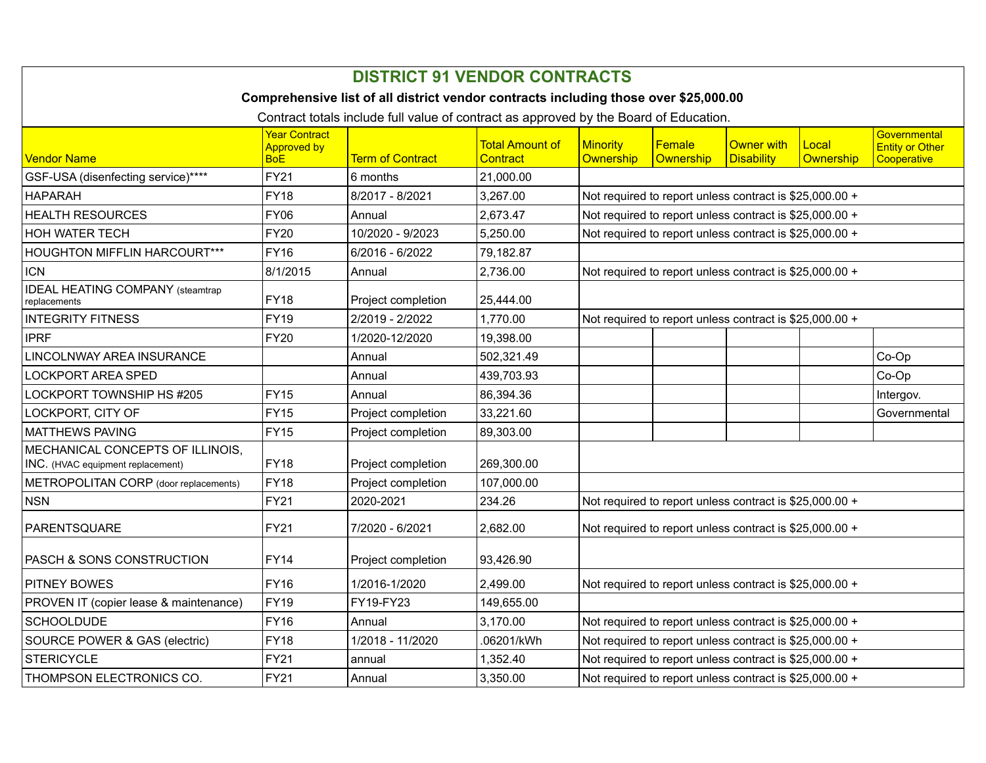| <b>DISTRICT 91 VENDOR CONTRACTS</b>                                                   |                                                          |                         |                                    |                                                                                                                    |                     |                                                         |                    |                                                       |  |
|---------------------------------------------------------------------------------------|----------------------------------------------------------|-------------------------|------------------------------------|--------------------------------------------------------------------------------------------------------------------|---------------------|---------------------------------------------------------|--------------------|-------------------------------------------------------|--|
| Comprehensive list of all district vendor contracts including those over \$25,000.00  |                                                          |                         |                                    |                                                                                                                    |                     |                                                         |                    |                                                       |  |
| Contract totals include full value of contract as approved by the Board of Education. |                                                          |                         |                                    |                                                                                                                    |                     |                                                         |                    |                                                       |  |
| <b>Vendor Name</b>                                                                    | <b>Year Contract</b><br><b>Approved by</b><br><b>BoE</b> | <b>Term of Contract</b> | <b>Total Amount of</b><br>Contract | Minority<br>Ownership                                                                                              | Female<br>Ownership | Owner with<br><b>Disability</b>                         | Local<br>Ownership | Governmental<br><b>Entity or Other</b><br>Cooperative |  |
| GSF-USA (disenfecting service)****                                                    | <b>FY21</b>                                              | 6 months                | 21,000.00                          |                                                                                                                    |                     |                                                         |                    |                                                       |  |
| <b>HAPARAH</b>                                                                        | <b>FY18</b>                                              | 8/2017 - 8/2021         | 3,267.00                           |                                                                                                                    |                     |                                                         |                    |                                                       |  |
| <b>HEALTH RESOURCES</b>                                                               | <b>FY06</b>                                              | Annual                  | 2,673.47                           | Not required to report unless contract is \$25,000.00 +<br>Not required to report unless contract is \$25,000.00 + |                     |                                                         |                    |                                                       |  |
| HOH WATER TECH                                                                        | <b>FY20</b>                                              | 10/2020 - 9/2023        | 5,250.00                           | Not required to report unless contract is \$25,000.00 +                                                            |                     |                                                         |                    |                                                       |  |
| <b>HOUGHTON MIFFLIN HARCOURT***</b>                                                   | <b>FY16</b>                                              | 6/2016 - 6/2022         | 79,182.87                          |                                                                                                                    |                     |                                                         |                    |                                                       |  |
| <b>ICN</b>                                                                            | 8/1/2015                                                 | Annual                  | 2,736.00                           | Not required to report unless contract is \$25,000.00 +                                                            |                     |                                                         |                    |                                                       |  |
| <b>IDEAL HEATING COMPANY</b> (steamtrap<br>replacements                               | FY18                                                     | Project completion      | 25,444.00                          |                                                                                                                    |                     |                                                         |                    |                                                       |  |
| <b>INTEGRITY FITNESS</b>                                                              | <b>FY19</b>                                              | 2/2019 - 2/2022         | 1,770.00                           | Not required to report unless contract is \$25,000.00 +                                                            |                     |                                                         |                    |                                                       |  |
| <b>IPRF</b>                                                                           | <b>FY20</b>                                              | 1/2020-12/2020          | 19,398.00                          |                                                                                                                    |                     |                                                         |                    |                                                       |  |
| LINCOLNWAY AREA INSURANCE                                                             |                                                          | Annual                  | 502,321.49                         |                                                                                                                    |                     |                                                         |                    | Co-Op                                                 |  |
| <b>LOCKPORT AREA SPED</b>                                                             |                                                          | Annual                  | 439,703.93                         |                                                                                                                    |                     |                                                         |                    | Co-Op                                                 |  |
| LOCKPORT TOWNSHIP HS #205                                                             | <b>FY15</b>                                              | Annual                  | 86,394.36                          |                                                                                                                    |                     |                                                         |                    | Intergov.                                             |  |
| LOCKPORT, CITY OF                                                                     | <b>FY15</b>                                              | Project completion      | 33,221.60                          |                                                                                                                    |                     |                                                         |                    | Governmental                                          |  |
| <b>MATTHEWS PAVING</b>                                                                | <b>FY15</b>                                              | Project completion      | 89,303.00                          |                                                                                                                    |                     |                                                         |                    |                                                       |  |
| MECHANICAL CONCEPTS OF ILLINOIS,<br>INC. (HVAC equipment replacement)                 | <b>FY18</b>                                              | Project completion      | 269,300.00                         |                                                                                                                    |                     |                                                         |                    |                                                       |  |
| METROPOLITAN CORP (door replacements)                                                 | <b>FY18</b>                                              | Project completion      | 107,000.00                         |                                                                                                                    |                     |                                                         |                    |                                                       |  |
| <b>NSN</b>                                                                            | <b>FY21</b>                                              | 2020-2021               | 234.26                             | Not required to report unless contract is \$25,000.00 +                                                            |                     |                                                         |                    |                                                       |  |
| PARENTSQUARE                                                                          | <b>FY21</b>                                              | 7/2020 - 6/2021         | 2,682.00                           | Not required to report unless contract is \$25,000.00 +                                                            |                     |                                                         |                    |                                                       |  |
| PASCH & SONS CONSTRUCTION                                                             | <b>FY14</b>                                              | Project completion      | 93,426.90                          |                                                                                                                    |                     |                                                         |                    |                                                       |  |
| <b>PITNEY BOWES</b>                                                                   | <b>FY16</b>                                              | 1/2016-1/2020           | 2.499.00                           | Not required to report unless contract is \$25,000.00 +                                                            |                     |                                                         |                    |                                                       |  |
| PROVEN IT (copier lease & maintenance)                                                | <b>FY19</b>                                              | FY19-FY23               | 149,655.00                         |                                                                                                                    |                     |                                                         |                    |                                                       |  |
| <b>SCHOOLDUDE</b>                                                                     | <b>FY16</b>                                              | Annual                  | 3,170.00                           | Not required to report unless contract is \$25,000.00 +                                                            |                     |                                                         |                    |                                                       |  |
| SOURCE POWER & GAS (electric)                                                         | <b>FY18</b>                                              | 1/2018 - 11/2020        | .06201/kWh                         | Not required to report unless contract is \$25,000.00 +                                                            |                     |                                                         |                    |                                                       |  |
| <b>STERICYCLE</b>                                                                     | <b>FY21</b>                                              | annual                  | 1,352.40                           |                                                                                                                    |                     | Not required to report unless contract is \$25,000.00 + |                    |                                                       |  |
| THOMPSON ELECTRONICS CO.                                                              | <b>FY21</b>                                              | Annual                  | 3,350.00                           |                                                                                                                    |                     | Not required to report unless contract is \$25,000.00 + |                    |                                                       |  |